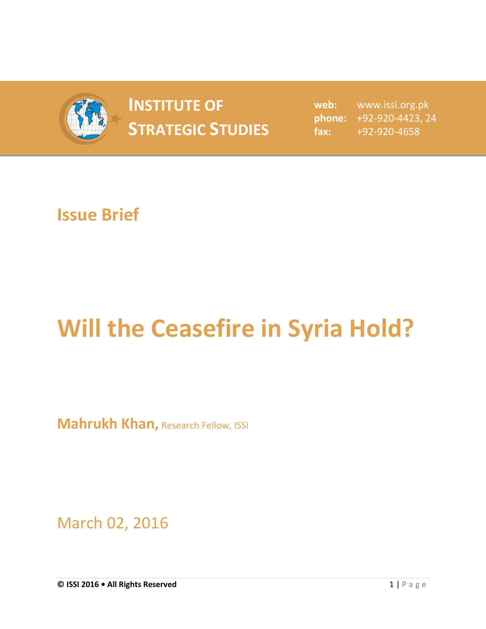

## **INSTITUTE OF STRATEGIC STUDIES**  $\begin{bmatrix} 1 & 1 \\ 1 & 2 \end{bmatrix}$

**web:** www.issi.org.pk **phone:** +92-920-4423, 24 **fax:** +92-920-4658

## **Issue Brief**

## **Will the Ceasefire in Syria Hold?**

**Mahrukh Khan, Research Fellow, ISSI** 

March 02, 2016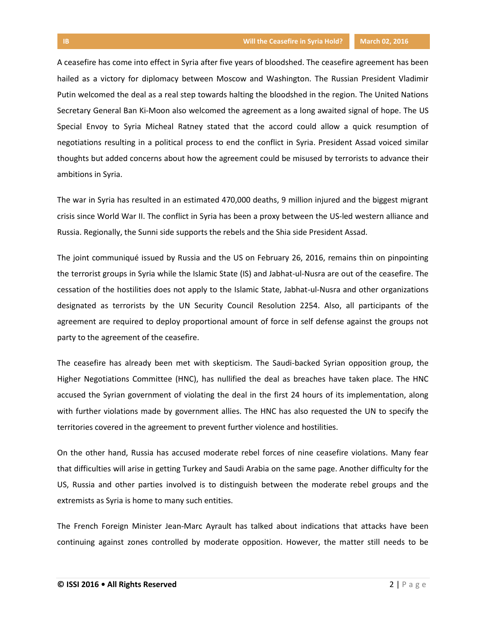A ceasefire has come into effect in Syria after five years of bloodshed. The ceasefire agreement has been hailed as a victory for diplomacy between Moscow and Washington. The Russian President Vladimir Putin welcomed the deal as a real step towards halting the bloodshed in the region. The United Nations Secretary General Ban Ki-Moon also welcomed the agreement as a long awaited signal of hope. The US Special Envoy to Syria Micheal Ratney stated that the accord could allow a quick resumption of negotiations resulting in a political process to end the conflict in Syria. President Assad voiced similar thoughts but added concerns about how the agreement could be misused by terrorists to advance their ambitions in Syria.

The war in Syria has resulted in an estimated 470,000 deaths, 9 million injured and the biggest migrant crisis since World War II. The conflict in Syria has been a proxy between the US-led western alliance and Russia. Regionally, the Sunni side supports the rebels and the Shia side President Assad.

The joint communiqué issued by Russia and the US on February 26, 2016, remains thin on pinpointing the terrorist groups in Syria while the Islamic State (IS) and Jabhat-ul-Nusra are out of the ceasefire. The cessation of the hostilities does not apply to the Islamic State, Jabhat-ul-Nusra and other organizations designated as terrorists by the UN Security Council Resolution 2254. Also, all participants of the agreement are required to deploy proportional amount of force in self defense against the groups not party to the agreement of the ceasefire.

The ceasefire has already been met with skepticism. The Saudi-backed Syrian opposition group, the Higher Negotiations Committee (HNC), has nullified the deal as breaches have taken place. The HNC accused the Syrian government of violating the deal in the first 24 hours of its implementation, along with further violations made by government allies. The HNC has also requested the UN to specify the territories covered in the agreement to prevent further violence and hostilities.

On the other hand, Russia has accused moderate rebel forces of nine ceasefire violations. Many fear that difficulties will arise in getting Turkey and Saudi Arabia on the same page. Another difficulty for the US, Russia and other parties involved is to distinguish between the moderate rebel groups and the extremists as Syria is home to many such entities.

The French Foreign Minister Jean-Marc Ayrault has talked about indications that attacks have been continuing against zones controlled by moderate opposition. However, the matter still needs to be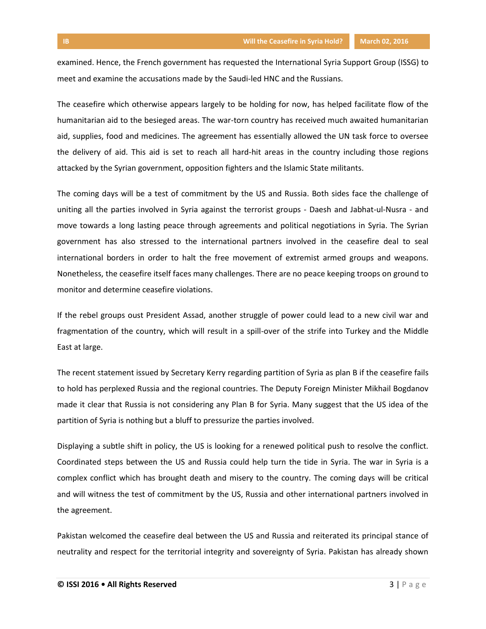examined. Hence, the French government has requested the International Syria Support Group (ISSG) to meet and examine the accusations made by the Saudi-led HNC and the Russians.

The ceasefire which otherwise appears largely to be holding for now, has helped facilitate flow of the humanitarian aid to the besieged areas. The war-torn country has received much awaited humanitarian aid, supplies, food and medicines. The agreement has essentially allowed the UN task force to oversee the delivery of aid. This aid is set to reach all hard-hit areas in the country including those regions attacked by the Syrian government, opposition fighters and the Islamic State militants.

The coming days will be a test of commitment by the US and Russia. Both sides face the challenge of uniting all the parties involved in Syria against the terrorist groups - Daesh and Jabhat-ul-Nusra - and move towards a long lasting peace through agreements and political negotiations in Syria. The Syrian government has also stressed to the international partners involved in the ceasefire deal to seal international borders in order to halt the free movement of extremist armed groups and weapons. Nonetheless, the ceasefire itself faces many challenges. There are no peace keeping troops on ground to monitor and determine ceasefire violations.

If the rebel groups oust President Assad, another struggle of power could lead to a new civil war and fragmentation of the country, which will result in a spill-over of the strife into Turkey and the Middle East at large.

The recent statement issued by Secretary Kerry regarding partition of Syria as plan B if the ceasefire fails to hold has perplexed Russia and the regional countries. The Deputy Foreign Minister Mikhail Bogdanov made it clear that Russia is not considering any Plan B for Syria. Many suggest that the US idea of the partition of Syria is nothing but a bluff to pressurize the parties involved.

Displaying a subtle shift in policy, the US is looking for a renewed political push to resolve the conflict. Coordinated steps between the US and Russia could help turn the tide in Syria. The war in Syria is a complex conflict which has brought death and misery to the country. The coming days will be critical and will witness the test of commitment by the US, Russia and other international partners involved in the agreement.

Pakistan welcomed the ceasefire deal between the US and Russia and reiterated its principal stance of neutrality and respect for the territorial integrity and sovereignty of Syria. Pakistan has already shown